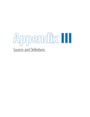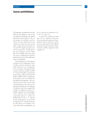# **Sources and Definitions**

This appendix complements the data tables by providing, for each of the 81 indicators included in the Global Innovation Index (GII), its title, its description, its definition, and its source. For each indicator for each country/economy, the most recent value within the period 2004–13 was used. The single year given next to the description corresponds to the most frequent year for which data were available; when more than one year is considered, the period is indicated at the end of the indicator's source in parenthesis.

Some indicators received special treatment in the computation. A few variables required scaling by some other indicator to be comparable across countries, through division by gross domestic product (GDP) in current US dollars, purchasing power parity GDP in international dollars (PPP\$ GDP), population, total exports, and so on. Details are provided in this appendix. The scaling factor was in each case the value corresponding to the same year of the particular indicator. In addition, 36 indicators that were assigned half weight are singled out with an 'a'. Finally, indicators for which higher scores indicate worse outcomes, commonly known as 'bads', are differentiated with a 'b' (details on the computation can be found in Appendix IV Technical Notes). See also Annex 2 in Chapter 1 for more information regarding the use of 'n/a' and zero in indicators 4.2.4, 5.2.4, 5.2.5, and 7.3.4.

A total of 56 variables are hard data; 20 are composite indicators from international agencies, distinguished with an asterisk (\*); and 5 are survey questions from the World Economic Forum's Executive Opinion Survey (EOS), singled out with a dagger ( †).

**373**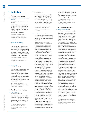# **1 Institutions**

### **1.1 Political environment**

# 1.1.1 Political stability and absence of violence/ terrorism

Political stability and absence of violence/terrorism index\* | 2012

Index that captures perceptions of the likelihood that the government will be destabilized or overthrown by unconstitutional or violent means, including politically motivated violence and terrorism. Scores are standardized.

Source: World Bank, World Governance Indicators, 2013 update. (http://info. worldbank.org/governance/wgi/index. aspx#home)

## 1.1.2 Government effectiveness

Government effectiveness index\* | 2012

Index that captures perceptions of the quality of public and civil services and the degree of their independence from political pressures, the quality of policy formulation and implementation, and the credibility of the government's commitment to such policies. Scores are standardized.

Source: World Bank, World Governance Indicators, 2013 update. (http://info. worldbank.org/governance/wgi/index. aspx#home)

#### 1.1.3 Press freedom

Press freedom index\*b | 2013

Index that captures perceptions on violations of press freedom in the world. It reflects the degree of freedom that journalists and news organizations enjoy in each country and the efforts made by the authorities to respect and ensure respect for this freedom. It is based on events between the start of December 2012 and the end of November 2013.

Source: Reporters Without Borders, Press Freedom Index 2013. (http://en.rsf.org/pressfreedom-index-2013,1054.html)

## **1.2 Regulatory environment**

1.2.1 Regulatory quality Regulatory quality index\*a | 2012

> Index that captures perceptions of the ability of the government to formulate and implement sound policies and regulations that permit and promote private-sector development. Scores are standardized.

Source: World Bank, World Governance Indicators, 2013 update. (http://info. worldbank.org/governance/wgi/index. aspx#home)

## 1.2.2 Rule of law

Rule of law index\*a | 2012

Index that captures perceptions of the extent to which agents have confidence in and abide by the rules of society, in particular the quality of contract enforcement, property rights, the police, and the courts, as well as the likelihood of crime and violence. Scores are standardized.

Source: World Bank, World Governance Indicators, 2013 update. (http://info. worldbank.org/governance/wgi/index. aspx#home)

### 1.2.3 Cost of redundancy dismissal

Sum of notice period and severance pay for redundancy dismissal (in salary weeks, averages for workers with 1, 5, and 10 years of tenure, with a minimum threshold of 8 weeks)<sup>b</sup> | 2013

Doing Business, in its indicators on employing workers, measures flexibility in the regulation on redundancy in a manner consistent with relevant ILO conventions to strike a better balance between labour market flexibility and social protection (including unemployment protection). The redundancy cost indicator is the sum of the cost of advance notice requirements added to severance payments due when terminating a redundant worker, expressed in weeks of salary. The average value of notice requirements and severance payments applicable to a worker with 1 year of tenure, a worker with 5 years of tenure, and a worker with 10 years of tenure is used to assign the score. If the redundancy cost adds up to 8 or fewer weeks of salary, a value of 8 is assigned but the actual number of weeks is published. If the cost adds up to more than 8 weeks of salary, the score is the number of weeks. One month is recorded as 4 and 1/3 weeks. Assumptions about the worker: the worker earns a salary plus benefits equal to the economy's average wage during the entire period of his employment; has a pay period that is the most common for workers in the economy; is a lawful citizen who belongs to the same race and religion as the majority of the economy's population; resides in the economy's largest business city; and is not a member of a labour union, unless membership is mandatory. Assumptions about the business: the business is a limited liability company; it operates in the economy's largest business city; it is 100% domestically owned; it operates in the manufacturing sector; it has 60 employees; it is subject to collective bargaining agreements in economies where such agreements cover more than half the manufacturing sector and apply even

to firms not party to them; and it abides by every law and regulation but does not grant workers more benefits than mandated by law, regulation, or (if applicable) collective bargaining agreement.

Source: World Bank, Doing Business 2014, Employing Workers. (http://www. doingbusiness.org/reports/global-reports/ doing-business-2014)

# **1.3 Business environment**

### 1.3.1 Ease of starting a business Ease of starting a business (distance to frontier)\* | 2013

The ranking is the simple average of the percentile rankings on the component indicators of the ease of starting a business index: procedures (number); time (days); cost to complete each procedure (% of income per capita); and paid-in minimum capital (% of income per capita). Doing Business records all procedures that are officially required for an entrepreneur to start up and formally operate an industrial or commercial business. These include obtaining all necessary licenses and permits and completing any required notifications, verifications, or inscriptions for the company and employees with relevant authorities. To make the data comparable across economies, Doing Business uses a standardized business that is a limited liability company (or its legal equivalent); operates in the economy's largest business city; is 100% domestically owned and has 5 owners (none of whom is a legal entity); has startup capital of 10 times income per capita, paid in cash; performs general industrial or commercial activities; it is not using heavily polluting production processes; leases the commercial plant or offices and is not a proprietor of real estate; does not qualify for investment incentives or any special benefits; has at least 10 and up to 50 employees 1 month after the commencement of operations, all of them domestic nationals; has a turnover of at least 100 times income per capita; and has a company deed 10 pages long. The distance to frontier measure benchmarks economies to the frontier in regulatory practice, measuring the absolute distance to the best performance on each indicator and showing how much the regulatory environment for local entrepreneurs in each economy has changed over time in absolute terms.

Source: World Bank, Ease of Doing Business Index 2014, Doing Business 2014. (http://www. doingbusiness.org/reports/global-reports/ doing-business-2014)

III: Sources and Definitions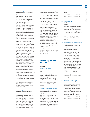**375**

### 1.3.2 Ease of resolving insolvency

Ease of resolving insolvency (distance to frontier)\* | 2013

The ranking on the ease of resolving insolvency is based on the recovery rate (cents on the dollar). To make the data comparable across economies, several assumptions about the business and the case are used: the recovery rate is recorded as cents on the dollar recouped by creditors through reorganization, liquidation, or debt enforcement (foreclosure) proceedings. The calculation takes into account the outcome: whether the business emerges from the proceedings as a going concern or the assets are sold piecemeal. Then the costs of the proceedings are deducted (1 cent for each percentage point of the value of the debtor's estate). Finally, the value lost as a result of the time the money remains tied up in insolvency proceedings is taken into account, including the loss of value due to depreciation of furniture, etc. The recovery rate is the present value of the remaining proceeds, based on end-2012 lending rates from the International Monetary Fund's International Financial Statistics, supplemented with data from central banks and the Economist Intelligence Unit. If an economy had zero cases a year over the past 5 years involving a judicial reorganization, judicial liquidation or debt enforcement procedure (foreclosure), the economy receives a 'no practice' ranking. This means that creditors are unlikely to recover their money through a formal legal process (in or out of court). The recovery rate for 'no practice' economies is zero. Indicators resolving insolvency—time (in years) and cost (% of estate), while also computed by Doing Business, are not taken into account for the ranking on the ease of resolving insolvency. Refer to indicator 1.3.1 for details regarding the distance to frontier measure.

Source: World Bank, Ease of Doing Business Index 2014, Doing Business 2014. (http://www. doingbusiness.org/reports/global-reports/ doing-business-2014)

### 1.3.3 Ease of paying taxes Ease of paying taxes (distance to frontier)\* | 2013

The ranking is the simple average of the percentile rankings on the component indicators of the ease of paying taxes: payments (number per year); time (hours per year); profit tax (%); labour tax and contributions (%); other taxes (%); and total tax rate (% profit). Since 2012, a threshold calculated and adjusted on a yearly basis is applied to the total tax rate. The threshold is equivalent to the

highest total tax rate among the top 15% of economies in the ranking on the total tax rate; this year the threshold is 25.5% (i.e., for all economies with a total tax rate below this threshold, the total tax rate is set at 25.5%). The threshold is not based on any underlying theory, but is intended to mitigate the effect of very low tax rates on the ranking of the ease of paying taxes. To make the data comparable across economies, several assumptions about the business and the taxes and contributions are used. The methodology benefited from discussion with members of the International Tax Dialogue and other stakeholders, which led to a refinement of the survey questions on the time to pay taxes, the collection of additional data on the labour tax wedge for further research, and the introduction of a threshold applied to the total tax rate for the purpose of calculating the ranking on the ease of paying taxes. Refer to indicator 1.3.1 for details regarding the distance to frontier measure.

Source: World Bank, Ease of Doing Business Index 2014, Doing Business 2014. (http://www. doingbusiness.org/reports/global-reports/ doing-business-2014)

# **2 Human capital and research**

# **2.1 Education**

2.1.1 Expenditure on education

Government expenditure on education (% of GDP) | 2010

Government operating expenditures in education, including wages and salaries and excluding capital investments in buildings and equipment, as a percentage of gross domestic product (GDP).

Source: UNESCO Institute for Statistics, UIS online database (2004–13). (http://stats.uis. unesco.org)

## 2.1.2 Government expenditure on education per pupil, secondary

Government expenditure per pupil, secondary (% of GDP per capita) | 2010

Government spending on education divided by the total number of secondary students, as a percentage of GDP per capita. Government expenditure (current and capital) includes government spending on educational institutions (both public and private), education administration, and subsidies for private entities

### (students/households and other private entities).

Source: UNESCO Institute for Statistics, UIS online database (2004–13). (http://stats.uis. unesco.org)

### 2.1.3 School life expectancy

School life expectancy, primary to tertiary education (years) | 2011

Total number of years of schooling that a child of a certain age can expect to receive in the future, assuming that the probability of his or her being enrolled in school at any particular age is equal to the current enrolment ratio for that age.

Source: UNESCO Institute for Statistics, UIS online database (2004–12). (http://stats.uis. unesco.org)

## 2.1.4 Assessment in reading, mathematics, and science

PISA average scales in reading, mathematics, and science<sup>a</sup> | 2012

The Organisation for Economic Co-operation and Development (OECD) Programme for International Student Assessment (PISA) develops threeyearly surveys that examine 15-yearold students' performance in reading, mathematics, and science. The scores are calculated in each year so that the mean is 500 and the standard deviation 100. The scores for China come from Shanghai; those for India from Himachal Pradesh and Tamil Nadu (average); those for the United Arab Emirates from Dubai; and those for the Bolivarian Republic of Venezuela from Miranda. These scores are those from the GII 2013 report.

Source: OECD Programme for International Student Assessment (PISA) (2010–12). (www. pisa.oecd.org/)

### 2.1.5 Pupil-teacher ratio, secondary Pupil-teacher ratio, secondary<sup>a,b</sup> 2011

The number of pupils enrolled in secondary school divided by the number of secondary school teachers (regardless of their teaching assignment). Where the data are missing for some countries, the ratios for upper-secondary are reported; if these are also missing, the ratios for lower-secondary are reported instead.

Source: UNESCO Institute for Statistics, UIS online database (2004–13). (http://stats.uis. unesco.org)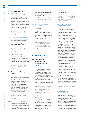III: Sources and Definitions

# **2.2 Tertiary education**

### 2.2.1 Tertiary enrolment School enrolment, tertiary (% gross)<sup>a</sup> | 2011

The ratio of total tertiary enrolment, regardless of age, to the population of the age group that officially corresponds to the tertiary level of education. Tertiary education, whether or not to an advanced research qualification, normally requires, as a minimum condition of admission, the successful completion of education at the secondary level.

Source: UNESCO Institute for Statistics, UIS online database (2004–12). (http://stats.uis. unesco.org)

### 2.2.2 Graduates in science and engineering

Tertiary graduates in engineering, manufacturing, and construction (% of total tertiary graduates) |2011

The share of all tertiary graduates in manufacturing, engineering, and construction over all tertiary graduates.

Source: UNESCO Institute for Statistics, UIS online database (2004–12). (http://stats.uis. unesco.org)

### 2.2.3 Tertiary inbound mobility

Tertiary inbound mobility ratio (%)<sup>a</sup> | 2011

The number of students from abroad studying in a given country, as a percentage of the total tertiary enrolment in that country.

Source: UNESCO Institute for Statistics, UIS online database (2004–13). (http://stats.uis. unesco.org)

# **2.3 Research and development (R&D)**

#### 2.3.1 Researchers

Researchers, headcounts (per million population) | 2011

Researchers per million population, head counts. Researchers in R&D are professionals engaged in the conception or creation of new knowledge, products, processes, methods, or systems and in the management of the projects concerned. Postgraduate PhD students (ISCED97 level 6) engaged in R&D are included. The series with full-time equivalents (FTE) also exists, but has a lower country coverage.

Source: UNESCO Institute for Statistics, UIS online database (2004–12). (http://stats.uis. unesco.org)

# 2.3.2 Gross expenditure on R&D (GERD)

GERD: Gross expenditure on R&D (% of GDP) | 2011

Total domestic intramural expenditure on R&D during a given period as a percentage of GDP. Intramural R&D expenditure

is all expenditure for R&D performed within a statistical unit or sector of the economy during a specific period, whatever the source of funds.

Source: UNESCO Institute for Statistics, UIS online database (2004–13). (http://stats.uis. unesco.org)

## 2.3.3 QS university ranking average score of top 3 universities

Average score of the top 3 universities at the QS world university ranking\* | 2013

Average score of the top three universities per country. If fewer than three universities are listed in the QS ranking of the global top 700 universities, the sum of the scores of the listed universities is divided by three, thus implying a score of zero for the non-listed universities.

Source: QS Quacquarelli Symonds Ltd, QS World University Ranking 2013/2014, Top Universities. (http://www.topuniversities. com/university-rankings/world-universityrankings/2013)

# **3 Infrastructure**

# **3.1 Information and communication technologies (ICTs)**

### 3.1.1 ICT access

ICT access index\* | 2012

The ICT access index is a composite index that weights five ICT indicators (20% each): (1) Fixed telephone lines per 100 inhabitants; (2) Mobile cellular telephone subscriptions per 100 inhabitants; (3) International Internet bandwidth (bit/s) per Internet user; (4) Percentage of households with a computer; and (5) Percentage of households with Internet access. It is the first sub-index in ITU's ICT Development Index (IDI).

Source: International Telecommunication Union, Measuring the Information Society 2013, ICT Development Index 2013. (http:// www.itu.int/en/ITU-D/Statistics/Pages/ publications/mis2013.aspx)

# 3.1.2 ICT use

ICT use index\* | 2012

The ICT use index is a composite index that weights three ICT indicators (33% each): (1) Percentage of individuals using the Internet; (2) Fixed (wired)-broadband Internet subscriptions per 100 inhabitants; and (3) Active mobile-broadband subscriptions per 100 inhabitants. It

### is the second sub-index in ITU's ICT Development Index (IDI).

Source: International Telecommunication Union, Measuring the Information Society 2013, ICT Development Index 2013. (http:// www.itu.int/en/ITU-D/Statistics/Pages/ publications/mis2013.aspx)

### 3.1.3 Government's online service Government's online service index\* | 2012

To arrive at a set of online service index values, research teams assessed each country's national website, including the national central portal, e-services portal, and e-participation portal as well as the websites of the related ministries of education, labour, social services, health, finance, and environment, as applicable. In addition to being assessed for content and features, the national sites were tested for a minimal level of web content accessibility as described in the Web Content Accessibility Guidelines of the World Wide Web Consortium. The survey covers four stages of government's online service development, with points assigned for (1) an emerging presence, providing limited and basic information; (2) an enhanced presence, providing greater public policy and governance sources of information, such as policies, laws and regulation, downloadable databases, etc.; (3) a transactional presence, allowing two-way interactions between government and citizens (G2C and C2G), including paying taxes and applying for ID cards, birth certificates, passports, license renewals, etc.; and (4) a connected presence, characterized by G2G, G2C, and C2G interactions; participatory deliberative policy- and decision-making. A citizen-centric approach was followed. It is the first of three components of the E-Government Development Index (EGDI) of the United Nations Public Administration Network (UNPAN), together with components on telecommunication infrastructure and human capital.

Source: United Nations Public Administration Network, e-Government Survey 2012. (http:// www2.unpan.org/egovkb/)

# 3.1.4 Online e-participation

E-Participation Index\* | 2012

The United Nations E-Participation Index is based on the survey used for the UN Online Service Index. The survey was expanded with questions emphasizing quality in the connected presence stage of e-government. These questions focus on the use of the Internet to facilitate the provision of information by governments to citizens ('e-information sharing'), interaction with stakeholders ('e-consul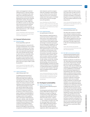tation'), and engagement in decisionmaking processes ('e-decision making'). A country's E-Participation Index value reflects how useful these features are and the extent to which they have been deployed by the government compared with all other countries. The purpose of this measure is to offer insight into how different countries are using online tools to promote interaction between citizens and government, as well as among citizens, for the benefit of all. The index ranges from 0 to 1, with 1 showing greater e-participation.

Source: United Nations Public Administration Network, e-Government Survey 2012. (http:// www2.unpan.org/egovkb/)

# **3.2 General infrastructure**

# 3.2.1 Electricity output

Electricity output (kWh per capita)<sup>a</sup> | 2011

Electricity production, measured at the terminals of all alternator sets in a station. In addition to hydropower, coal, oil, gas, and nuclear power generation, this indicator covers generation by geothermal, solar, wind, and tide and wave energy, as well as that from combustible renewables and waste. Production includes the output of electricity plants that are designed to produce electricity only as well as that of combined heat and power plants. Electricity output in KWh is scaled by population.

Source: International Energy Agency, World Energy Balances online data service (2011–12). (http://www.iea.org/stats/)

#### 3.2.2 Logistics performance Logistics Performance Index\*a | 2012

A multidimensional assessment of logistics performance, the Logistics Performance Index (LPI) compares the trade logistics profiles of 160 countries and rates them on a scale of 1 (worst) to 5 (best). The ratings are based on 6,000 individual country assessments by nearly 1,000 international freight forwarders, who rated the eight foreign countries their company serves most frequently. The LPI's six components include: (1) the efficiency of the clearance process (speed, simplicity, and predictability of formalities) by border control agencies, including customs; (2) the quality of trade- and transport-related infrastructure (ports, railroads, roads, information technology); (3) the ease of arranging competitively priced shipments; (4) the competence and quality of logistics services (transport operators, customs brokers); (5) the ability to track and trace consignments; and (6) the frequency with which shipments reach the consignee within the scheduled or expected delivery time. Details of the survey methodology are in Arvis et al.'s Connecting to Compete 2014: Trade Logistics in the Global Economy (2014). Scores are averaged across all respondents.

Source: World Bank and Turku School of Economics, Logistics Performance Index 2014; Arvis et al., 2014, Connecting to Compete 2014: Trade Logistics in the Global Economy. (http:// lpi.worldbank.org/)

### 3.2.3 Gross capital formation Gross capital formation (% of GDP) | 2013

Ratio of total gross capital formation in current local currency to GDP in current local currency. Gross capital formation or investment is measured by the total value of the gross fixed capital formation and changes in inventories and acquisitions less disposals of valuables for a unit or sector, on the basis of the System of National Accounts (SNA) of 1993. Gross fixed capital formation consists of outlays on additions to the fixed assets of the economy plus net changes in the level of inventories. Fixed assets include land improvements (fences, ditches, drains, and so on); plant, machinery, and equipment purchases; and the construction of roads, railways, and the like, including schools, offices, hospitals, private residential dwellings, and commercial and industrial buildings. Inventories are stocks of goods held by firms to meet temporary or unexpected fluctuations in production or sales and 'work in progress'. Net acquisitions of valuables are also considered capital formation.

Source: International Monetary Fund, World Economic Outlook 2013 database, April 2013 (PPP\$ GDP) (2006–12). (http://www.imf.org/ external/pubs/ft/weo/2013/01/weodata/ weoselgr.aspx)

# **3.3 Ecological sustainability**

### 3.3.1 GDP per unit of energy use GDP per unit of energy use (2005 PPP\$ per kg of oil equivalent) | 2011

Purchasing power parity gross domestic product (PPP\$ GDP) per kilogram of oil equivalent of energy use. Energy use or total primary energy supply (TPES) is calculated as the production of fuels + inputs from other sources + imports – exports – international marine bunkers +/– stock changes. It includes coal, crude oil, natural gas liquids, refinery feedstocks, additives, petroleum products, gases, combustible renewables and waste, electricity, and heat. Domestic supply (also called 'energy apparent consumption') differs from final consumption in that it does not take account of distribution losses. The supply (or use) of energy commodities is converted to kilograms or tons of oil equivalent (koe, toe) using standard coefficients for each energy source.

Source: International Energy Agency, World Energy Balances online data service (2011–12). (http://www.iea.org/stats/)

### 3.3.2 Environmental performance Environmental Performance Index\* | 2014

This index ranks countries on 20 performance indicators tracked across policy categories that cover both environmental public health and ecosystem vitality. These indicators gauge how close countries are to established environmental policy goals. The index ranges from 0 to 100, with 100 indicating best performance.

Source: Yale University and Columbia University Environmental Performance Index 2014. (http://epi.yale.edu/)

### 3.3.3 ISO 14001 environmental certificates ISO 14001 Environmental management systems— Requirements with guidance for use: Number of certificates issued (per billion PPP\$ GDP)a | 2012

Number of certificates of conformity to 'ISO 14001:2004 Environmental management systems: Requirements with guidance for use' issued, according to the ISO survey. Single-site and multiple-site certificates are not distinguished. The ISO survey is published on an annual basis by the International Organization for Standardization (ISO). Only certification bodies accredited by national members of the International Accreditation Forum (www.iaf.nu) were used as sources (except for certificates in the Russian Federation, which were accredited locally). Certification of conformity with standards is not a requirement and the standards can be implemented without certification, but certification is perceived as adding value and trust. ISO is a network of the national standards institutes of 162 countries, and it is the world's largest developer of voluntary International Standards for business, government, and society, with a portfolio of more than 19,500 standards in almost every sector of economic activity and technology. ISO itself does not perform certification to its standards, does not issue certificates, and does not control certification performed independently of ISO by other organizations. The data are reported per billion PPP\$ GDP.

**377**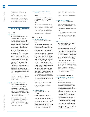Source: International Organization for Standardization (ISO), The ISO Survey of Management System Standard Certifications, 1999–2012; International Monetary Fund World Economic Outlook 2013 database, April 2013 (PPP\$ GDP) (2006–12). (www.iso. org; http://www.imf.org/external/pubs/ft/ weo/2013/01/weodata/weoselgr.aspx)

# **4 Market sophistication**

# **4.1 Credit**

# 4.1.1 Ease of getting credit

Ease of getting credit (distance to frontier)\* | 2013

The ranking is the simple average of the percentile rankings on the component indicators of the ease of getting credit index: strength of legal rights index (range 0–10); and depth of credit information index (range 0–6). Doing Business measures the legal rights of borrowers and lenders with respect to secured transactions through one set of indicators and the sharing of credit information through another. The first set of indicators describes how well collateral and bankruptcy laws facilitate lending. The second set measures the coverage, scope, and accessibility of credit information available through public credit registries and private credit bureaus. Although Doing Business compiles data on getting credit for public registry coverage (% of adults) and for private bureau coverage (% of adults), these indicators are not included in the ranking. Refer to indicator 1.3.1 for details regarding the distance to frontier measure.

Source: World Bank, Ease of Doing Business Index 2014, Doing Business 2014. (http://www. doingbusiness.org/reports/global-reports/ doing-business-2014)

## 4.1.2 Domestic credit to private sector

Domestic credit to private sector (% of GDP) | 2012

Financial resources provided to the private sector, such as through loans, purchases of nonequity securities, and trade credits and other accounts receivable, that establish a claim for repayment. For some countries, these claims include credit to public enterprises.

Source: International Monetary Fund, International Financial Statistics and data files, and World Bank and OECD GDP estimates; extracted from World Bank World Development Indicators database (2005–12). (http://data.worldbank.org/)

### 4.1.3 Microfinance institutions' gross loan portfolio

Microfinance institutions: Gross loan portfolio (% of GDP) | 2012

Combined gross loan balances per microfinance institution (current US\$), divided by GDP (current US\$) and multiplied by 100.

Source: Microfinance Information Exchange, Mix Market database; International Monetary Fund:World Economic Outlook 2013 database, April 2013 (PPP\$ GDP) (2006–12). (http://www. mixmarket.org/crossmarket-analysis-report/ download; http://www.imf.org/external/pubs/ ft/weo/2013/01/weodata/download.aspx)

## **4.2 Investment**

### 4.2.1 Ease of protecting investors

Ease of protecting investors (distance to frontier)\* | 2013

The ranking is the simple average of the percentile rankings on the component indicators of the ease of protecting investors index: the extent of disclosure index (0–10); the extent of director liability index (0–10); the ease of shareholder suits index (0–10); and the strength of investor protection index (0–10). Doing Business measures the strength of minority shareholder protections against directors' misuse of corporate assets for personal gain. The indicators distinguish three dimensions of investor protections: transparency of related-party transactions (extent of disclosure index), liability for self-dealing (extent of director liability index), and shareholders' ability to sue officers and directors for misconduct (ease of shareholder suits index). The data come from a survey of corporate and securities lawyers and are based on securities regulations, company laws, civil procedure codes, and court rules of evidence. Refer to indicator 1.3.1 for details regarding the distance to frontier measure.

Source: World Bank, Ease of Doing Business Index 2014, Doing Business 2014. (http://www. doingbusiness.org/reports/global-reports/ doing-business-2014)

#### 4.2.2 Market capitalization

Market capitalization of listed companies (% of  $GDP)^{a}$  | 2012

Market capitalization (also known as 'market value') is the share price times the number of shares outstanding. Listed domestic companies are the domestically incorporated companies listed on the country's stock exchanges at the end of the year. Listed companies do not include investment companies, mutual funds, or other collective investment vehicles.

Source: Standard and Poor's and World Bank and OECD GDP estimates; extracted from World Bank World Development Indicators database (2005–12). (http://data.worldbank. org/)

### 4.2.3 Total value of stocks traded Stocks traded, total value (% of GDP)<sup>a</sup> | 2012

Total value of shares traded during the period. This indicator complements the market capitalization ratio by showing whether market size is matched by trading.

Source: Standard and Poor's and World Bank and OECD GDP estimates; extracted from World Bank World Development Indicators database (2005–12). (http://data.worldbank. org/)

#### 4.2.4 Venture capital deals

Venture capital per investment location: Number of deals (per trillion PPP\$ GDP)<sup>a</sup> | 2013

Thomson Reuters data on private equity deals, per deal, with details on the location of investment, investment company, investor firms, and funds, among others. The series corresponds to a query on venture capital deals from 1 January 2013 to 31 December 2013, with the data collected by investment location, for a total of 18,887 deals in 77 countries in 2013. The data are reported per trillion PPP\$ GDP.

Source: Thomson Reuters, Thomson One Banker Private Equity database; International Monetary Fund World Economic Outlook 2013 database, April 2013 (PPP\$ GDP) (2006–12). (http://banker.thomsonib.com; http://www. imf.org/external/pubs/ft/weo/2013/01/ weodata/download.aspx)

# **4.3 Trade and competition**

## 4.3.1 Applied tariff rate, weighted mean Tariff rate, applied, weighted mean, all products  $(%)<sup>a,b</sup>$  | 2011

The average of effectively applied rates weighted by the product import shares corresponding to each partner country. Data are classified using the Harmonized System of trade at the six- or eight-digit level. Tariff line data were matched to Standard International Trade Classification (SITC) revision 3 codes to define commodity groups and import weights. To the extent possible, specific rates have been converted to their ad valorem equivalent rates and have been included in the calculation of weighted mean tariffs. Effectively applied tariff rates at the six- and eight-digit product level are averaged for products in each commodity group. When the effectively applied rate is unavailable, the most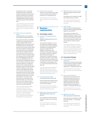favoured nation rate is used instead. World Bank estimates use the World Integrated Trade Solution (WITS) system, based on tariff data from the UNCTAD Trade Analysis and Information System (TRAINS) database and import weights calculated using the UN Comtrade database.

Source: World Bank, based on WITS, UNCTAD TRAINS, and UN COMTRADE; extracted from World Bank World Development Indicators database (2005–12). (http://data.worldbank. org/)

## 4.3.2 Market access for non-agricultural exports

Non-agricultural market access: Five major export markets weighted actual applied tariff (%)<sup>a,b</sup> | 2011

Non-agricultural market access (NAMA) conditions are measured by the actual average weighted (AAW) tariff rate applied by the five major export markets. The applied tariff rate is the difference between the most-favoured nation (MFN) duty and the preference margin (if any); and average tariff rates are weighted by actual imports calculated from mirror imports data (any of the two reference years, 2011 or 2010). For example, imports from Albania into the EU (China) benefit from an AAW preference margin of 4.7 (0.4) over an AAW MFN duty of 4.7 (0), thus implying an AAW applied tariff of 0.0 (0.4). Once the three other major export markets for Albania are considered as well (the Former Yugoslav Republic of Macedonia, India, and Turkey), the NAMA conditions for Albania can be summarized in an AAW applied tariff of 0.04%. For EU countries, the extra-EU data are assigned to each of the 27 (28 if considering Croatia) countries. When information on preferential tariff regimes is missing, MFN treatment is assumed (it is also assumed that a country avails itself of preferential tariffs, even if the exporter chooses not to for whatever reason such as the more onerous prerequisites attached to the preferential tariff).

Source: World Trade Organization (WTO), International Trade Centre (ITC), and United Nations Conference on Trade and Development (UNCTAD) World Tariff Profiles 2013; Annex 1 of the WTO Agreement on Agriculture (NAMA classification) (2010–11). (http://stat.wto.org/TariffProfile/ WSDBTariffPFHome.aspx?Language=E)

### 4.3.3 Intensity of local competition

Average answer to the survey question: In your country, how intense is competition in the local markets? [1  $=$ not intense at all;  $7 =$  extremely intense] $\dagger$  | 2013

Source: World Economic Forum, Executive Opinion Survey 2013–2014 . (https://wefsurvey. org)

# **5 Business sophistication**

# **5.1 Knowledge workers**

5.1.1 Employment in knowledge-intensive services

Employment in knowledge-intensive services (% of workforce) | 2012

Sum of people in categories 1 to 3 as a percentage of total people employed, according to the International Standard Classification of Occupations (ISCO). Categories included: ISCO-08: 1 Managers, 2 Professionals, and 3 Technicians and associate professionals (years 2009–12); ISCO-88: 1 Legislators, senior officials and managers, 2 Professionals, 3 Technicians and associate professionals (2004–12); ISCO-1968: 1 Professional, technical and related workers (category 0 Armed forces is excluded), 2 Administrative and managerial workers, 3 Clerical and related workers (years 2004–08).

Source: International Labour Organization, LABORSTA Database of Labour Statistics (2004–08), and ILOSTAT Database of Labour Statistics Beta version (2004–12). (http://www. ilo.org/ilostat/; http://laborsta.ilo.org/)

### 5.1.2 Firms offering formal training

Firms offering formal training (% of firms) | 2009

The percentage of firms offering formal training programmes for their permanent, full-time employees.

Source: International Finance Corporation and World Bank, Enterprise Surveys (2005–13). (http://www.enterprisesurveys.org/)

### 5.1.3 GERD performed by business enterprise

GERD: Performed by business enterprise (% of GDP)<sup>a</sup> | 2012

## Gross expenditure on R&D performed by business enterprise as a percentage of GDP.

Source: UNESCO Institute for Statistics, UIS online database (2004–12). (http://stats.uis. unesco.org)

5.1.4 GERD performed by business enterprise GERD: Performed by business enterprise (% of total GERD)a | 2012

> Percentage of gross expenditure on R&D performed by business enterprise.

Source: UNESCO Institute for Statistics, UIS online database (2004–12). (http://stats.uis. unesco.org)

# 5.1.5 GMAT test takers

Number of test takers of the Graduate Management Admission Test (GMAT) by citizenship (scaled by million population 20-34 years old)<sup>a</sup> | 2013

Total number of test takers of the Graduate Management Admission Test (GMAT) by citizenship, scaled by population 20–34 years old (if for a given country/economy the data for citizens do not exist, the data for residents are given instead).

Source: Graduate Management Admission Council (GMAC); United Nations, Department of Economic and Social Affairs, Population Division, World Population Prospects: The 2012 Revision (population data) (2004–13). (www. gmac.com/research; http://esa.un.org/unpd/ wpp/Excel-Data/population.htm)

# **5.2 Innovation linkages**

### 5.2.1 University/industry research collaboration

Average answer to the survey question: In your country, to what extent do business and universities collaborate on research and development (R&D)? [1 = do not collaborate at all;  $7 =$  collaborate extensively]  $\frac{1}{4}$  | 2013

Source: World Economic Forum, Executive Opinion Survey 2013–2014. (https://wefsurvey. org)

### 5.2.2 State of cluster development

Average answer to the survey question on the role of clusters in the economy: In your country, how widespread are well-developed and deep clusters (geographic concentrations of firms, suppliers, producers of related products and services, and specialized institutions in a particular field)?  $[1 =$ nonexistent; 7 = widespread in many fields]  $\dagger$  | 2013

Source: World Economic Forum, Executive Opinion Survey 2013–2014. (https://wefsurvey. org)

### 5.2.3 GERD financed by abroad

GERD: Financed by abroad (% of total GERD) | 2011

### Percentage of gross expenditure on R&D financed by abroad—i.e., with foreign financing.

Source: UNESCO Institute for Statistics, UIS online database (2006–13). (http://stats.uis. unesco.org)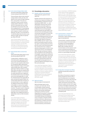III: Sources and Definitions

Thomson Reuters data on joint ventures/ strategic alliances deals, per deal, with details on the country of origin of partner firms, among others. The series corresponds to a query on joint venture/ strategic alliance deals from 1 January 2013 to 31 December 2013, for a total of 2,978 deals announced in 2013, with firms headquartered in 127 participating economies. Each participating nation of each company in a deal (*n* countries per deal) gets, per deal, a score equivalent to 1/n (with the effect that all country scores add up to 2,978). The data are reported per trillion PPP\$ GDP.

Source: Thomson Reuters, Thomson One Banker Private Equity, SDC Platinum database; International Monetary Fund World Economic Outlook 2013 database, April 2013 (PPP\$ GDP) (2006–12). (http://banker.thomsonib. com; http://www.imf.org/external/pubs/ft/ weo/2013/01/weodata/download.aspx)

### 5.2.5 Patent families filed in at least three offices

Number of patent families filed by residents in at least three offices (per billion PPP\$ GDP)<sup>a</sup> | 2010

A 'patent family' is defined as a set of interrelated patent applications filed in one or more countries/jurisdictions to protect the same invention (either directly or through the WIPO-administered Patent Cooperation Treaty). In this report, 'patent families data' refers to patent applications filed by residents in at least three offices; the data are scaled by PPP\$ GDP (billions). A 'patent' is a set of exclusive rights granted by law to applicants for inventions that are new, non-obvious, and commercially applicable. It is valid for a limited period of time (generally 20 years), during which patent holders can commercially exploit their inventions on an exclusive basis. In return, applicants are obliged to disclose their inventions to the public in a manner that enables others, skilled in the art, to replicate the invention. The patent system is designed to encourage innovation by providing innovators with time-limited exclusive legal rights, thus enabling innovators to appropriate a return on their innovative activity.

Source: World Intellectual Property Organization, WIPO Statistics Database; International Monetary Fund World Economic Outlook 2013 database, April 2013 (PPP\$ GDP) (2006–12). (http://www.wipo.int// ipstats/; http://www.imf.org/external/pubs/ft/ weo/2013/01/weodata/download.aspx)

# **5.3 Knowledge absorption**

### 5.3.1 Royalties and license fees payments Royalty and license fees, payments (% of total trade)<sup>a</sup> | 2012

Royalties and license fees payments (% of total service imports) according to the Extended Balance of Payments Services Classification EBOPS 2002—i.e., code 266 Royalties and license fees (including franchises and similar rights) as a percentage of total trade. 'Total trade' is defined as the sum of total imports code G100 goods and code S200CS commercial services (excluding government services) plus total exports of code G100 goods and code S200CS commercial services (excluding government services), divided by 2. According to the fifth edition of the IMF's Balance of Payments Manual (BPM5), the item 'Goods' covers general merchandise, goods for processing, repairs on goods, goods procured in ports by carriers, and nonmonetary gold. The 'commercial services' category is defined as being equal to 'services' minus 'government services, not included elsewhere'. Receipts are between residents and nonresidents for the authorized use of intangible, nonproduced, nonfinancial assets and proprietary rights (such as patents, copyrights, trademarks, industrial processes, and franchises) and for the use, through licensing agreements, of produced originals of prototypes (such as films and manuscripts).

Source: World Trade Organization, Trade in Commercial Services database, itself based on the fifth (1993) edition of the International Monetary Fund Balance of Payments Manual and Balance of Payments database (2007–12). (http://stat.wto.org/StatisticalProgram/ WSDBStatProgramSeries.aspx?Language=E; http://unstats.un.org/unsd/tradeserv/ EBOPS2002\_eng.pdf)

### 5.3.2 High-tech imports

High-tech net imports (% of total trade) | 2012

High-technology imports minus re-imports over total trade. The list of commodities contains technical products with a high intensity of R&D, based on the Eurostat classification, itself based on SITC Rev.4 and the Organisation for Economic Co-operation and Development (OECD) definition. Commodities belong to the following sectors: aerospace; computers & office machines; electronics, telecommunications; pharmacy; scientific instruments; electrical machinery; chemistry; nonelectrical machinery; and armament.

Source: United Nations, COMTRADE database; Eurostat 'High-technology' aggregations based on SITC Rev. 4, April 2009 (2007–12). (http://comtrade.un.org/; http://epp.eurostat. ec.europa.eu/cache/ITY\_SDDS/Annexes/htec\_ esms\_an5.pdf); World Trade Organization, Trade in Commercial Services database, itself based on the fifth (1993) edition of the International Monetary Fund Balance of Payments Manual and Balance of Payments database (2007–12). (http://stat.wto.org/ StatisticalProgram/ WSDBStatProgramSeries. aspx?Language=E; http://unstats.un.org/unsd/ tradeserv/EBOPS2002\_eng.pdf)

### 5.3.3 Communications, computer and information services imports Communications, computer and information services imports (% of total trade) | 2012

Communication, computer and information services imports (% of total trade) according to the Extended Balance of Payments Services Classification EBOPS 2002, including codes 245 Communications services (postal, courier services, and telecommunications services); and 262 Computer and information services, as a percentage of total trade.

Source: World Trade Organization, Trade in Commercial Services database, itself based on the fifth (1993) edition of the International Monetary Fund Balance of Payments Manual and Balance of Payments database (2007–12). (http://stat.wto.org/StatisticalProgram/ WSDBStatProgramSeries.aspx?Language=E; http://unstats.un.org/unsd/tradeserv/ EBOPS2002\_eng.pdf)

### 5.3.4 Foreign direct investment net inflows Foreign direct investment (FDI), net inflows (% of GDP) | 2011

Net inflows of investment to acquire a lasting management interest (10% or more of voting stock) in an enterprise operating in an economy other than that of the investor. It is the sum of equity capital, reinvestment of earnings, other long-term capital, and short-term capital as shown in the balance of payments. This series shows net inflows (new investment inflows less disinvestment) in the reporting economy from foreign investors, and is divided by GDP.

Source: International Monetary Fund, International Financial Statistics and data files, and World Bank and OECD GDP estimates; extracted from World Bank World Development Indicators database (2007–12). (http://data.worldbank.org/)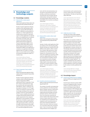# **6 Knowledge and technology outputs**

### **6.1 Knowledge creation**

6.1.1 National office resident patent applications

Number of patent applications filed by residents at the national patent office (per billion PPP\$ GDP)<sup>a</sup> | 2012

Number of patent applications filed by residents at the national patent office. Data are scaled by PPP\$ GDP (billions). 'Patent' is defined in the description of indicator 5.2.5. Patent applications by resident data are based on 'equivalent count', by which applications at regional offices are multiplied by the corresponding number of member states. This concerns the Eurasian Patent Office (EAPO) and the African Intellectual Property Organization (OAPI). For the European Patent Office (EPO) and the African Regional Intellectual Property Organization (ARIPO), each application is counted as one application abroad if the applicant does not reside in a member state; or as one resident and one application abroad if the applicant resides in a member state.

Source: World Intellectual Property Organization, WIPO Statistics Database; International Monetary Fund World Economic Outlook 2013 database, April 2013 (PPP\$ GDP) (2006–12). (http://www.wipo.int// ipstats/; http://www.imf.org/external/pubs/ft/ weo/2013/01/weodata/download.aspx)

### 6.1.2 Patent Cooperation Treaty resident applications

Number of international patent applications filed by residents at the Patent Cooperation Treaty (per billion PPP\$ GDP)a | 2012

Number of patent applications filed by residents under the World Intellectual Property Organization (WIPO) administered Patent Cooperation Treaty (PCT). Data are reported for PCT member countries only, and scaled by PPP\$ GDP (billions). 'Patent' is defined in the description of indicator 5.2.5. PCT applications are assigned to a particular country of origin according to the country of residence of the first-named applicant. The PCT system simplifies the process of multiple national patent filings by reducing the requirement to file a separate application in each jurisdiction. However, the decision of whether to grant patent rights remains in the hands of national and regional patent offices, and the patent rights remain limited to the jurisdiction of the patent granting authority. The PCT international application process

starts with the international phase, during which an international search and, possibly, a preliminary examination are performed, and concludes with the national phase, during which national and regional patent offices decide on the patentability of an invention according to national law.

Source: World Intellectual Property Organization, WIPO Statistics Database; International Monetary Fund World Economic Outlook 2013 database, April 2013 (PPP\$ GDP) (2006–12). (http://www.wipo.int// ipstats/; http://www.imf.org/external/pubs/ft/ weo/2013/01/weodata/download.aspx)

# 6.1.3 National office resident utility model applications

Number of utility model applications filed by residents at the national patent office (per billion PPP\$ GDP) | 2012

Number of utility model applications filed by residents at the national patent office. Resident UM data are scaled by PPP\$ GDP (billions). Like a patent, a UM is a special form of patent right granted by a state/ jurisdiction to an inventor or inventor's assignee for a fixed period of time. The terms and conditions for granting a utility model are slightly different from those for normal patents (including a shorter term of protection and less stringent patentability requirements). The term 'utility model' can also describe what are known in certain countries as 'petty patents', 'short-term patents', or 'innovation patents'.

Source: World Intellectual Property Organization, WIPO Statistics Database; International Monetary Fund World Economic Outlook 2013 database, April 2013 (PPP\$ GDP) (2007–12). (http://www.wipo.int// ipstats/; http://www.imf.org/external/pubs/ft/ weo/2013/01/weodata/download.aspx)

## 6.1.4 Scientific and technical publications

Number of scientific and technical journal articles (per billion PPP\$ GDP)<sup>a</sup> | 2013

The number of scientific and engineering articles published in the following fields: physics, biology, chemistry, mathematics, clinical medicine, biomedical research, engineering and technology, and earth and space sciences. Article counts are from a set of journals covered by the Science Citation Index (SCI) and the Social Sciences Citation Index (SSCI). Articles are classified by year of publication and assigned to each country/economy on basis of the institutional address(es) listed in the article. Articles are counted on a count basis (rather than a fractional basis)—that is, for articles with collaborating institutions from multiple countries/economies, each country/economy receives credit on basis of its participating institutions. The data are reported per trillion PPP\$ GDP.

Source: Special tabulations from Thomson Reuters, Web of Science, Science Citation Index (SCI) and Social Sciences Citation Index (SSCI); International Monetary Fund World Economic Outlook 2013 database, April 2013 (PPP\$ GDP). (http://thomsonreuters.com/ products\_services/science/; http://www.imf. org/external/pubs/ft/weo/2013/01/weodata/ download.aspx)

### 6.1.5 Citable documents H index

The H index is the economy's number of published articles (H) that have received at least H citations in the period 1996–2013.\*a | 2013

The H index is an economy's number of published articles (H) that have received at least H citations in the period 1996– 2013. It quantifies both country scientific productivity and scientific impact and is also applicable to scientists, journals, etc. The SCImago Journal & Country Rank is a portal that includes journal and economy scientific indicators developed from the information contained in the Scopus® database (Elsevier B.V.). This platform takes its name from the SCImago Journal Rank (SJR), developed by SCImago from the algorithm Google PageRank™. The H index is tabulated from the number of citations received in subsequent years by articles published in a given year, divided by the number of articles published that year.

Source: SCImago (2007) SJR—SCImago Journal & Country Rank. Retrieved February 2014. (http://www.scimagojr.com)

# **6.2 Knowledge impact**

6.2.1 Growth rate of GDP per person engaged Growth rate of GDP per person engaged (constant 1990 PPP\$) | 2012

> Growth of gross domestic product (GDP) per person engaged provides a measure of labour productivity (defined as output per unit of labour input). GDP per person employed is GDP divided by total employment in the economy. PPP\$ GDP is converted to 1990 constant international dollars using PPP rates. An international dollar has the same purchasing power over GDP that a US dollar has in the United States of America.

Source: International Labour Organization, Key Indicators of the Labour Market (KILM) database, Table 17b Labour productivity (Conference board estimates), special tabulations prepared using KLIM Excel Add-in. **381**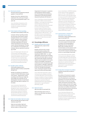### 6.2.2 New business density

New business density (new registrations per thousand population 15–64 years old)<sup>a</sup> | 2012

Number of new firms, defined as firms registered in the current year of reporting, per thousand population aged 15–64 years old.

Source: World Bank, Doing Business 2014, Entrepreneurship (2007–12). (http://www. doingbusiness.org/data/exploretopics/ entrepreneurship)

### 6.2.3 Total computer software spending

Total computer software spending (% of GDP)<sup>a</sup> | 2012

Computer software spending includes the total value of purchased or leased packaged software such as operating systems, database systems, programming tools, utilities, and applications. It excludes expenditures for internal software development and outsourced custom software development. The data are a combination of actual figures and estimates. Data are reported as a percentage of GDP.

Source: IHS Global Insight, Information and Communication Technology Database; International Monetary Fund World Economic Outlook 2013 database, April 2013 (current US\$ GDP). (http://www.ihsglobalinsight. com/ProductsServices/ProductDetail2370. htm; http://www.imf.org/external/pubs/ft/ weo/2013/01/weodata/download.aspx)

### 6.2.4 ISO 9001 quality certificates

ISO 9001 Quality management systems— Requirements: Number of certificates issued (per billion PPP\$ GDP)a | 2012

Number of certificates of conformity to standard 'ISO 9001:2008 Quality management systems—Requirements' issued, according to the ISO Survey. Single-site and multiple-site certificates are not distinguished. The data are reported per billion PPP\$ GDP. Refer to indicator 3.3.3 for details.

Source: International Organization for Standardization (ISO), The ISO Survey of Management System Standard Certifications, 1999–2012; International Monetary Fund World Economic Outlook 2013 database, April 2013 (PPP\$ GDP) (2010–12). (www.iso. org; http://www.imf.org/external/pubs/ft/ weo/2013/01/weodata/weoselgr.aspx)

### 6.2.5 High-tech and medium-high-tech output

# High-tech and medium-high-tech output (% of total manufactures output)<sup>a</sup> | 2010

High-tech and medium-high-tech output as a percentage of total manufactures output, on the basis of the

Organisation for Economic Co-operation and Development (OECD) classification of Technology Intensity Definition, itself based on International Standard Industrial Classification ISIC Revision 3.

Source: United Nations Industrial Development Organization (UNIDO), Industrial Statistics Database, 3- and 4-digit level of International Standard Industrial Classification ISIC Revision 3 (INDSTAT4 2012); OECD, Directorate for Science, Technology and Industry, Economic Analysis and Statistics Division, 'ISIC REV. 3 Technology Intensity Definition: Classification of Manufacturing Industries into Categories Based on R&D Intensities', 7 July 2011 (2004–10). (www.unido.org/statistics. html; http://unstats.un.org/unsd/cr/registry/ regcst.asp?cl=27; http://www.oecd.org/sti/ ind/48350231.pdf)

# **6.3 Knowledge diffusion**

6.3.1 Royalties and license fees receipts Royalty and license fees, receipts (% of total trade)a | 2012

> Royalties and license fees receipts (% of total trade) according to the Extended Balance of Payments Services Classification EBOPS 2002—i.e., code 266 Royalties and license fees (including franchises and similar rights) as a percentage of total trade. Receipts are between residents and nonresidents for the authorized use of intangible, nonproduced, nonfinancial assets and proprietary rights (such as patents, copyrights, trademarks, industrial processes, and franchises) and for the use, through licensing agreements, of produced originals of prototypes (such as films and manuscripts).

Source: World Trade Organization, Trade in Commercial Services database, itself based on the fifth (1993) edition of the International Monetary Fund Balance of Payments Manual and Balance of Payments database (2007–12). (http://stat.wto.org/StatisticalProgram/ WSDBStatProgramSeries.aspx?Language=E; http://unstats.un.org/unsd/tradeserv/ EBOPS2002\_eng.pdf)

# 6.3.2 High-tech exports

High-tech net exports (% of total trade)<sup>a</sup> | 2012

High-technology exports minus reexports over total trade. See indicator 5.3.2 for details.

Source: United Nations, COMTRADE database; Eurostat 'High-technology' aggregations based on SITC Rev. 4, April 2009 (2007–12). (http://comtrade.un.org/; http://epp.eurostat. ec.europa.eu/cache/ITY\_SDDS/Annexes/htec\_ esms\_an5.pdf); World Trade Organization, Trade in Commercial Services database, itself based on the fifth (1993) edition of the International Monetary Fund Balance of Payments Manual and Balance of Payments database (2007–12). (http://stat.wto.org/ StatisticalProgram/WSDBStatProgramSeries. aspx?Language=E; http://unstats.un.org/unsd/ tradeserv/EBOPS2002\_eng.pdf)

### 6.3.3 Communications, computer and information services exports Communications, computer and information services exports (% of total trade)<sup>a</sup> | 2012

Communication, computer and information services exports (% of total trade) according to the Extended Balance of Payments Services Classification EBOPS 2002, including codes 245 Communications services (postal, courier services, and telecommunications services) and 262 Computer and information services, as a percentage of total trade.

Source: World Trade Organization, Trade in Commercial Services database, itself based on the fifth (1993) edition of the International Monetary Fund Balance of Payments Manual and Balance of Payments database (2007–12). (http://stat.wto.org/StatisticalProgram/ WSDBStatProgramSeries.aspx?Language=E; http://unstats.un.org/unsd/tradeserv/ EBOPS2002\_eng.pdf)

### 6.3.4 Foreign direct investment net outflows Foreign direct investment (FDI), net outflows (% of GDP) | 2012

Net outflows of investment to acquire a lasting management interest (10% or more of voting stock) in an enterprise operating in an economy other than that of the investor. It is the sum of equity capital, reinvestment of earnings, other long-term capital, and short-term capital as shown in the balance of payments. This series shows net outflows of investment from the reporting economy to the rest of the world and is divided by GDP.

Source: International Monetary Fund, International Financial Statistics and data files, and World Bank and OECD GDP estimates; extracted from World Bank World Development Indicators database (2005–12). (http://data.worldbank.org/)

**382**

III: Sources and Definitions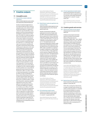# **7 Creative outputs**

# **7.1 Intangible assets**

- 7.1.1 National office resident trademark applications
	- Number of trademark applications issued to residents by the national office (per billion PPP\$ GDP) | 2012

Number of trademark applications at the national trademark office, based on equivalent class counts. Data are scaled by PPP\$ GDP (billions). A 'trademark' is a distinctive sign that identifies certain goods or services as those produced or provided by a specific person or enterprise. The holder of a trademark application has the legal right to exclusive use of the mark in relation to the products or services for which it is registered. The owner can prevent unauthorized use of the trademark, or a confusingly similar mark, so as to prevent consumers and the public in general from being misled. Unlike patents, trademarks can be maintained indefinitely by paying renewal fees. The procedures for registering trademarks are governed by the rules and regulations of national and regional IP offices. Trademark rights are limited to the jurisdiction of the authority that registers the trademark. Resident trademark registrations are based on equivalent class counts. 'Class count' refers to the number of classes specified in a trademark registration. In the international trademark system and at certain offices, an applicant can file a trademark application that specifies one or more of the 45 goods and services classes of the Nice Classification. Offices use either a singleor multi-class filing system. For example, the offices of Japan, the Republic of Korea, and the United States of America as well as many European offices have multi-class filing systems. The offices of Brazil, China, and Mexico follow a singleclass filing system, requiring a separate application for each class in which applicants seek trademark protection. To capture the differences in application numbers across offices, it is useful to compare their respective registration class counts. 'Equivalent registrations' refers to registrations at regional offices and are equivalent to multiple registrations, one in each of the states that is a member of those offices. To calculate the number of equivalent registrations for regional office data, each registration is multiplied by the corresponding number of member states.

Source: World Intellectual Property Organization, WIPO Statistics Database; International Monetary Fund World Economic Outlook 2013 database, April 2013 (PPP\$ GDP) (2004–12). (http://www.wipo.int// ipstats/; http://www.imf.org/external/pubs/ft/ weo/2013/01/weodata/download.aspx)

### 7.1.2 Madrid System trademark applications by country of origin

Number of international trademark applications issued through the Madrid System by country of origin (per billion PPP\$ GDP)<sup>a</sup> | 2012

Number of international trademark applications by country of origin under the WIPO-administered Madrid System. Data are reported for Patent Cooperation Treaty (PCT) member countries only, and scaled by PPP\$ GDP (billions). 'Trademark' is defined in the description of indicator 7.1.1. The Madrid System for the International Registration of Marks, established under the Madrid Agreement and the Madrid Protocol and administered by WIPO, makes it possible for an applicant to register a trademark in a large number of countries by filing a single application at their national or regional IP office that is party to the system. The Madrid System simplifies the process of multinational trademark registration by reducing the requirement to file separate applications at each office. It also simplifies the subsequent management of the mark, since it is possible to record changes or to renew the registration through a single procedural step. Registration through the Madrid System does not create an 'international' trademark, and the decision to register or refuse the trademark remains in the hands of national and/or regional office(s). Trademark rights are limited to the jurisdiction of the trademark registration office(s).

Source: World Intellectual Property Organization, WIPO Statistics Database; International Monetary Fund World Economic Outlook 2013 database, April 2013 (PPP\$ GDP) (2007–13). (http://www.wipo.int// ipstats/; http://www.imf.org/external/pubs/ft/ weo/2013/01/weodata/download.aspx)

### 7.1.3 ICTs and business model creation Average answer to the question: In your country, to what extent do ICTs enable new business models?

org)

 $[1 = not at all; 7 = to a great extent]<sup>†</sup>$  | 2013 Source: World Economic Forum, Executive Opinion Survey 2013–2014. (https://wefsurvey.

## 7.1.4 ICTs and organizational model creation

Average answer to the question: In your country, to what extent do ICTs enable new organizational models (e.g. virtual teams, remote working, telecommuting) within businesses?  $[1 = not at all; 7 = to a great]$ extent]† | 2013

Source: World Economic Forum, Executive Opinion Survey 2013–2014. (https://wefsurvey. org)

# **7.2 Creative goods and services**

7.2.1 Cultural and creative services exports Cultural and creative services exports (% of total trade)<sup>a</sup> | 2012

> Creative services exports (% of total exports) according to the Extended Balance of Payments Services Classification EBOPS 2002—that is, EBOPS code 264 Information services; code 278 Advertising, market research and public opinion polling; code 288 Audiovisual and related services; and code 897 Other, personal, cultural and recreational services as a percentage of total trade. The score for the United States of America (USA) includes the category Film and TV tape distribution in the absence of available data for code 288 Audiovisual and related services. The category Film and tape distribution is specific to the USA and does not have a code. However, these transactions have been classified by the USA under the EBOPS item 266 (Royalties and licence fees).

Source: World Trade Organization, Trade in Commercial Services database, itself based on the fifth (1993) edition of the International Monetary Fund Balance of Payments Manual and Balance of Payments database (2007–12). (http://stat.wto.org/StatisticalProgram/ WSDBStatProgramSeries.aspx?Language=E; http://unstats.un.org/unsd/tradeserv/ EBOPS2002\_eng.pdf)

### 7.2.2 National feature films produced Number of national feature films produced (per million population  $15-69$  years old)<sup>a</sup> | 2011

A film with a running time of 60 minutes or longer. It includes works of fiction, animation, and documentaries. It is intended for commercial exhibition in cinemas. Feature films produced exclusively for television broadcasting, as well as newsreels and advertising films, are excluded. Data are reported per million population 15–69 years old. For Cambodia and Cameroon, this indicator covers only feature films in video format; for Slovenia, feature films with a running time of 75 minutes or longer.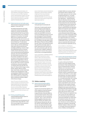Source: UNESCO Institute for Statistics, UIS online database; United Nations, Department of Economic and Social Affairs, Population Division, World Population Prospects: The 2012 Revision (population data) (2005–11). (http:// stats.uis.unesco.org; http://esa.un.org/unpd/ wpp/Excel-Data/population.htm)

### 7.2.3 Global entertainment and media output Global entertainment and media output (per thousand population 15–69 years old)\*a | 2012

The Global entertainment and media outlook (the Outlook) provides global analysis for consumer and advertising spend with like-for-like, five-year historical and forecast data across 13 industry segments in 59 countries. The Outlook allows one to compare and contrast regional growth rates and consumer and advertising spend. The segments covered by the Outlook are: TV subscriptions and license fees; TV advertising; Internet access; radio; out-of-home advertising; video games; filmed entertainment; newspaper publishing; consumer magazine publishing; business-to-business markets; Internet advertising; and consumer and educational book publishing and music. The score and rankings for the Global Media Expenditures for the 59 countries considered in this report are based on advertising and consumer digital and non-digital data in US\$ millions at average 2012 exchange rates for the year 2012. These results are reported normalized per thousand population, 15–69 years old, for the year 2012. The figures for Algeria, Bahrain, Egypt, Jordan, Kuwait, Lebanon, Morocco, Oman, Qatar, Saudi Arabia, and the United Arab Emirates were estimated from a total corresponding to Middle East and North Africa (MENA) countries using a breakdown of total GDP (current US\$) for the above-mentioned countries to define referential percentages.

Source: The source of the data for the base of these calculations was derived from PwC's Global entertainment and media outlook, 2013–2017; United Nations, Department of Economic and Social Affairs, Population Division, World Population Prospects: The 2010 Revision (population data). (www.pwc.com/ outlook)

### 7.2.4 Printing and publishing output Printing and publishing manufactures output (% of manufactures total output) | 2010

Publishing, printing, and reproduction of recorded media output (ISIC Rev. 3 code 22) as a percentage of total manufacturing output (ISIC rev.3 code D).

Source: United Nations Industrial Development Organization, Industrial Statistics Database, 2-digit level of International Standard Industrial Classification ISIC Revision 3 (INDSTAT4 2012) (2007–12). (www.unido.org/ statistics.html; http://unstats.un.org/unsd/cr/ registry/regcst.asp?cl=2)

### 7.2.5 Creative goods exports Creative goods exports (% of total trade) | 2012

Total value of creative goods exports, net of re-exports (current US\$) over total trade. 'Total trade' is defined as the sum of total imports code G100 goods and code S200CS commercial services (excluding government services) plus total exports of code G100 goods and code S200CS commercial services (excluding government services), divided by 2. According to the fifth edition of the IMF's Balance of Payments Manual (BPM5), the item 'Goods' covers general merchandise, goods for processing, repairs on goods, goods procured in ports by carriers, and nonmonetary gold. The 'commercial services' category is defined as being equal to 'services' minus 'government services, not included elsewhere'.

Source: United Nations, COMTRADE database; 2009 UNESCO Framework for Cultural Statistics, Table 3, International trade of cultural goods and services based on the 2007 Harmonised System (HS 2007); World Trade Organization, Trade in Commercial Services database, itself based on the fifth (1993) edition of the International Monetary Fund Balance of Payments Manual and Balance of Payments database (2007–12). (http://unctadstat.unctad.org/; http:// www.uis.unesco.org/culture/Documents/ framework-cultural-statistics-culture-2009-en. pdf; http://stat.wto.org/StatisticalProgram/ WSDBStatProgramSeries.aspx?Language=E)

# **7.3 Online creativity**

7.3.1 Generic top-level domains (gTLDs) Generic top-level domains gTLDs (per thousand population 15–69 years old) | 2013

> A generic top-level domain (gTLD) is one of the categories of top-level domains (TLDs) maintained by the Internet Assigned Numbers Authority (IANA) for use in the Internet. Generic TLDs can be unrestricted (com, info, net, and org) or restricted—that is, used on the basis of fulfilling eligibility criteria (biz, name, and pro). Of these, the statistic covers the five generic domains biz, info, org, net, and com. Generic domains .name and .pro, and sponsored domains (arpa, aero, asia, cat, coop, edu, gov, int, jobs, mil, museum, tel, travel, and xxx) are not

included. Neither are country-code toplevel domains (refer to indicator 7.3.2). The statistic represents the total number of registered domains (i.e., net totals by December 2013, existing domains + new registrations – expired domains). Data are collected on the basis of a 4% random sample of the total population of domains drawn from the root zone files (a complete listing of active domains) for each TLD. The geographic location of a domain is determined by the registration address for the domain name registrant that is returned from a whois query. These registration data are parsed by country and postal code and then aggregated to any number of geographic levels such as county, city, or country/economy. The original hard data were scaled by thousand population 15–69 years old. For confidentiality reasons, only normalized values are reported; while relative positions are preserved, magnitudes are not.

Source: ZookNIC Inc; United Nations, Department of Economic and Social Affairs, Population Division, World Population Prospects: The 2012 Revision (population data). (http://www.zooknic.com; http://esa.un.org/ unpd/wpp/Excel-Data/population.htm)

### 7.3.2 Country-code top-level domains (ccTLDs) Country-code top-level domains ccTLDs (per thousand population 15–69 years old) | 2013

A country-code top-level domain (ccTLD) is one of the categories of toplevel domains (TLDs) maintained by the Internet Assigned Numbers Authority (IANA) for use in the Internet. Countrycode TLDs are two-letter domains especially designated for a particular economy, country, or autonomous territory (there are 324 ccTLDs, in various alphabets/characters). The statistic represents the total number of registered domains (i.e., net totals by December 2013, existing domains + new registrations – expired domains). Data are collected from the registry responsible for each ccTLD and represent the total number of domain registrations in the ccTLD. Each ccTLD is assigned to the country with which it is associated rather than based on the registration address of the registrant. ZookNIC reports that, for the ccTLDs it covers, 85–100% of domains are registered in the same country; the only exceptions are the ccTLDs that have been licensed for commercial worldwide use. Of this year's GII sample of countries, this is the case for the ccTLDs of the following economies: Armenia am, Austria at, Belarus by, Belgium be, Colombia co, Denmark dk, Finland fi, Iceland is, India in, Iran ir, Italy it, Lao People's Democratic Republic la, Latvia lv, Moldova md, Mongolia mn,